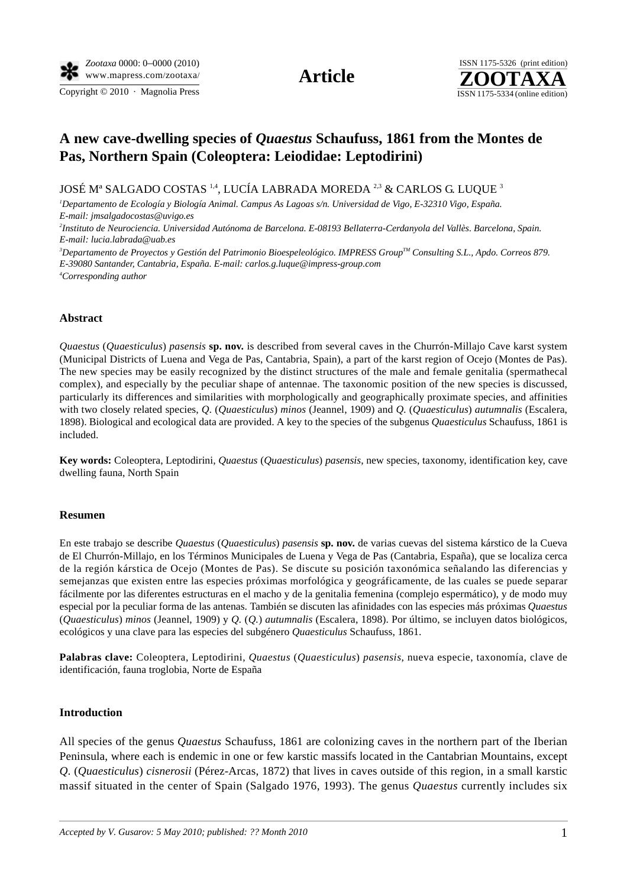Copyright  $© 2010$  · Magnolia Press ISSN 1175-5334 (online edition)



# **A new cave-dwelling species of** *Quaestus* **Schaufuss, 1861 from the Montes de Pas, Northern Spain (Coleoptera: Leiodidae: Leptodirini)**

JOSÉ Mª SALGADO COSTAS 1,4, LUCÍA LABRADA MOREDA <sup>2,3</sup> & CARLOS G. LUOUE <sup>3</sup>

*1 Departamento de Ecología y Biología Animal. Campus As Lagoas s/n. Universidad de Vigo, E-32310 Vigo, España. E-mail: jmsalgadocostas@uvigo.es*

*2 Instituto de Neurociencia. Universidad Autónoma de Barcelona. E-08193 Bellaterra-Cerdanyola del Vallès. Barcelona, Spain. E-mail: lucia.labrada@uab.es*

<sup>3</sup>Departamento de Proyectos y Gestión del Patrimonio Bioespeleológico. IMPRESS Group™ Consulting S.L., Apdo. Correos 879. *E-39080 Santander, Cantabria, España. E-mail: [carlos.g.luque@impress-group.com](mailto:carlos.g.luque@impress-group.com) 4 Corresponding author*

## **Abstract**

*Quaestus* (*Quaesticulus*) *pasensis* **sp. nov.** is described from several caves in the Churrón-Millajo Cave karst system (Municipal Districts of Luena and Vega de Pas, Cantabria, Spain), a part of the karst region of Ocejo (Montes de Pas). The new species may be easily recognized by the distinct structures of the male and female genitalia (spermathecal complex), and especially by the peculiar shape of antennae. The taxonomic position of the new species is discussed, particularly its differences and similarities with morphologically and geographically proximate species, and affinities with two closely related species, *Q.* (*Quaesticulus*) *minos* (Jeannel, 1909) and *Q.* (*Quaesticulus*) *autumnalis* (Escalera, 1898). Biological and ecological data are provided. A key to the species of the subgenus *Quaesticulus* Schaufuss, 1861 is included.

**Key words:** Coleoptera, Leptodirini, *Quaestus* (*Quaesticulus*) *pasensis*, new species, taxonomy, identification key, cave dwelling fauna, North Spain

### **Resumen**

En este trabajo se describe *Quaestus* (*Quaesticulus*) *pasensis* **sp. nov.** de varias cuevas del sistema kárstico de la Cueva de El Churrón-Millajo, en los Términos Municipales de Luena y Vega de Pas (Cantabria, España), que se localiza cerca de la región kárstica de Ocejo (Montes de Pas). Se discute su posición taxonómica señalando las diferencias y semejanzas que existen entre las especies próximas morfológica y geográficamente, de las cuales se puede separar fácilmente por las diferentes estructuras en el macho y de la genitalia femenina (complejo espermático), y de modo muy especial por la peculiar forma de las antenas. También se discuten las afinidades con las especies más próximas *Quaestus*  (*Quaesticulus*) *minos* (Jeannel, 1909) y *Q.* (*Q.*) *autumnalis* (Escalera, 1898). Por último, se incluyen datos biológicos, ecológicos y una clave para las especies del subgénero *Quaesticulus* Schaufuss, 1861.

**Palabras clave:** Coleoptera, Leptodirini, *Quaestus* (*Quaesticulus*) *pasensis*, nueva especie, taxonomía, clave de identificación, fauna troglobia, Norte de España

### **Introduction**

All species of the genus *Quaestus* Schaufuss, 1861 are colonizing caves in the northern part of the Iberian Peninsula, where each is endemic in one or few karstic massifs located in the Cantabrian Mountains, except *Q.* (*Quaesticulus*) *cisnerosii* (Pérez-Arcas, 1872) that lives in caves outside of this region, in a small karstic massif situated in the center of Spain (Salgado 1976, 1993). The genus *Quaestus* currently includes six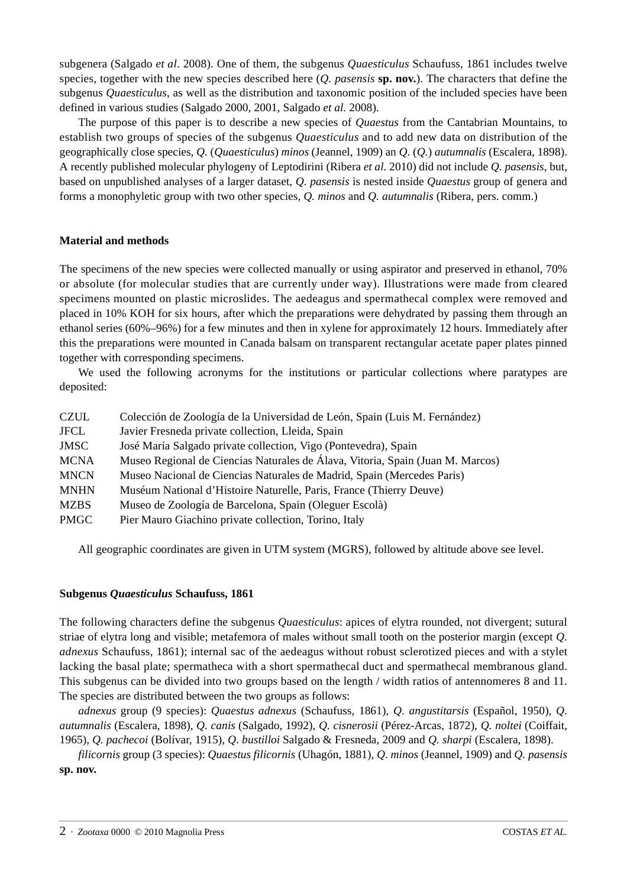subgenera (Salgado *et al*. 2008). One of them, the subgenus *Quaesticulus* Schaufuss, 1861 includes twelve species, together with the new species described here (*Q. pasensis* **sp. nov.**). The characters that define the subgenus *Quaesticulus*, as well as the distribution and taxonomic position of the included species have been defined in various studies (Salgado 2000, 2001, Salgado *et al.* 2008).

The purpose of this paper is to describe a new species of *Quaestus* from the Cantabrian Mountains, to establish two groups of species of the subgenus *Quaesticulus* and to add new data on distribution of the geographically close species, *Q.* (*Quaesticulus*) *minos* (Jeannel, 1909) an *Q.* (*Q.*) *autumnalis* (Escalera, 1898). A recently published molecular phylogeny of Leptodirini (Ribera *et al.* 2010) did not include *Q. pasensis*, but, based on unpublished analyses of a larger dataset, *Q. pasensis* is nested inside *Quaestus* group of genera and forms a monophyletic group with two other species, *Q. minos* and *Q. autumnalis* (Ribera, pers. comm.)

## **Material and methods**

The specimens of the new species were collected manually or using aspirator and preserved in ethanol, 70% or absolute (for molecular studies that are currently under way). Illustrations were made from cleared specimens mounted on plastic microslides. The aedeagus and spermathecal complex were removed and placed in 10% KOH for six hours, after which the preparations were dehydrated by passing them through an ethanol series (60%–96%) for a few minutes and then in xylene for approximately 12 hours. Immediately after this the preparations were mounted in Canada balsam on transparent rectangular acetate paper plates pinned together with corresponding specimens.

We used the following acronyms for the institutions or particular collections where paratypes are deposited:

| <b>CZUL</b> | Colección de Zoología de la Universidad de León, Spain (Luis M. Fernández)     |
|-------------|--------------------------------------------------------------------------------|
| JFCL        | Javier Fresneda private collection, Lleida, Spain                              |
| JMSC        | José María Salgado private collection, Vigo (Pontevedra), Spain                |
| <b>MCNA</b> | Museo Regional de Ciencias Naturales de Álava, Vitoria, Spain (Juan M. Marcos) |
| <b>MNCN</b> | Museo Nacional de Ciencias Naturales de Madrid, Spain (Mercedes Paris)         |
| <b>MNHN</b> | Muséum National d'Histoire Naturelle, Paris, France (Thierry Deuve)            |
| <b>MZBS</b> | Museo de Zoología de Barcelona, Spain (Oleguer Escolà)                         |
| <b>PMGC</b> | Pier Mauro Giachino private collection, Torino, Italy                          |

All geographic coordinates are given in UTM system (MGRS), followed by altitude above see level.

## **Subgenus** *Quaesticulus* **Schaufuss, 1861**

The following characters define the subgenus *Quaesticulus*: apices of elytra rounded, not divergent; sutural striae of elytra long and visible; metafemora of males without small tooth on the posterior margin (except *Q. adnexus* Schaufuss, 1861); internal sac of the aedeagus without robust sclerotized pieces and with a stylet lacking the basal plate; spermatheca with a short spermathecal duct and spermathecal membranous gland. This subgenus can be divided into two groups based on the length / width ratios of antennomeres 8 and 11. The species are distributed between the two groups as follows:

*adnexus* group (9 species): *Quaestus adnexus* (Schaufuss, 1861), *Q*. *angustitarsis* (Español, 1950), *Q. autumnalis* (Escalera, 1898), *Q. canis* (Salgado, 1992), *Q. cisnerosii* (Pérez-Arcas, 1872), *Q. noltei* (Coiffait, 1965), *Q. pachecoi* (Bolívar, 1915), *Q*. *bustilloi* Salgado & Fresneda, 2009 and *Q. sharpi* (Escalera, 1898).

*filicornis* group (3 species): *Quaestus filicornis* (Uhagón, 1881), *Q*. *minos* (Jeannel, 1909) and *Q. pasensis* **sp. nov.**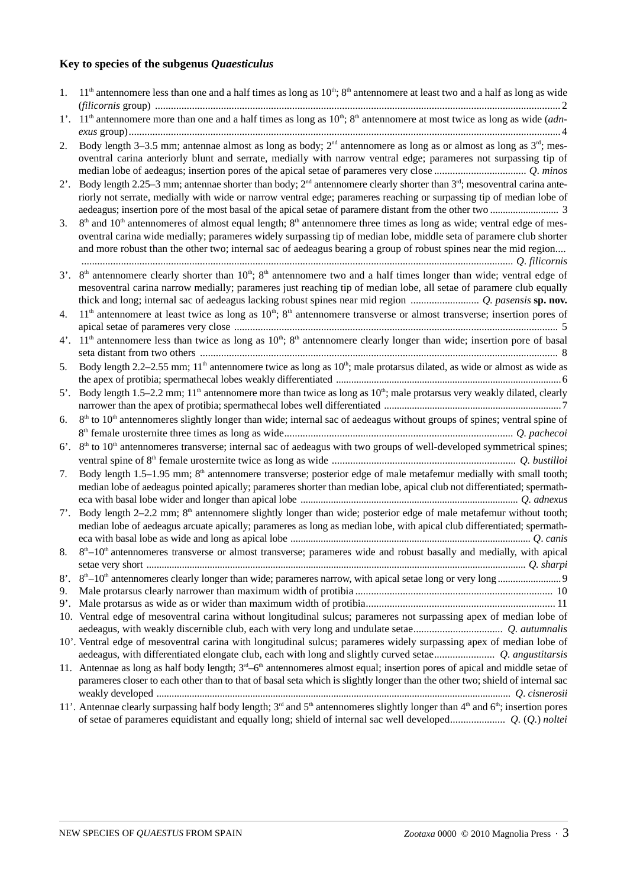## **Key to species of the subgenus** *Quaesticulus*

| 1.           | $11th$ antennomere less than one and a half times as long as $10th$ ; $8th$ antennomere at least two and a half as long as wide                                                                                                                                                                                                                                                      |
|--------------|--------------------------------------------------------------------------------------------------------------------------------------------------------------------------------------------------------------------------------------------------------------------------------------------------------------------------------------------------------------------------------------|
|              | 1'. 11 <sup>th</sup> antennomere more than one and a half times as long as 10 <sup>th</sup> ; 8 <sup>th</sup> antennomere at most twice as long as wide (adn-                                                                                                                                                                                                                        |
|              |                                                                                                                                                                                                                                                                                                                                                                                      |
| 2.           | Body length 3–3.5 mm; antennae almost as long as body; $2nd$ antennomere as long as or almost as long as $3rd$ ; mes-<br>oventral carina anteriorly blunt and serrate, medially with narrow ventral edge; parameres not surpassing tip of                                                                                                                                            |
| $2^\circ$ .  | Body length 2.25–3 mm; antennae shorter than body; $2^{nd}$ antennomere clearly shorter than $3^{rd}$ ; mesoventral carina ante-<br>riorly not serrate, medially with wide or narrow ventral edge; parameres reaching or surpassing tip of median lobe of                                                                                                                            |
| 3.           | $8th$ and 10 <sup>th</sup> antennomeres of almost equal length; $8th$ antennomere three times as long as wide; ventral edge of mes-<br>oventral carina wide medially; parameres widely surpassing tip of median lobe, middle seta of paramere club shorter<br>and more robust than the other two; internal sac of aedeagus bearing a group of robust spines near the mid region      |
| $3^\circ$ .  | 8 <sup>th</sup> antennomere clearly shorter than 10 <sup>th</sup> ; 8 <sup>th</sup> antennomere two and a half times longer than wide; ventral edge of<br>mesoventral carina narrow medially; parameres just reaching tip of median lobe, all setae of paramere club equally<br>thick and long; internal sac of aedeagus lacking robust spines near mid region  Q. pasensis sp. nov. |
| 4.           | $11th$ antennomere at least twice as long as $10th$ ; $8th$ antennomere transverse or almost transverse; insertion pores of                                                                                                                                                                                                                                                          |
|              |                                                                                                                                                                                                                                                                                                                                                                                      |
| $4^\prime$ . | $11th$ antennomere less than twice as long as $10th$ ; $8th$ antennomere clearly longer than wide; insertion pore of basal                                                                                                                                                                                                                                                           |
| 5.           | Body length 2.2–2.55 mm; $11th$ antennomere twice as long as $10th$ ; male protarsus dilated, as wide or almost as wide as                                                                                                                                                                                                                                                           |
| $5^\circ$ .  | Body length 1.5–2.2 mm; 11 <sup>th</sup> antennomere more than twice as long as $10th$ ; male protarsus very weakly dilated, clearly                                                                                                                                                                                                                                                 |
| 6.           | $8th$ to 10 <sup>th</sup> antennomeres slightly longer than wide; internal sac of aedeagus without groups of spines; ventral spine of                                                                                                                                                                                                                                                |
|              |                                                                                                                                                                                                                                                                                                                                                                                      |
| $6^\circ$ .  | $8th$ to $10th$ antennomeres transverse; internal sac of aedeagus with two groups of well-developed symmetrical spines;                                                                                                                                                                                                                                                              |
|              |                                                                                                                                                                                                                                                                                                                                                                                      |
| 7.           | Body length 1.5–1.95 mm; 8 <sup>th</sup> antennomere transverse; posterior edge of male metafemur medially with small tooth;<br>median lobe of aedeagus pointed apically; parameres shorter than median lobe, apical club not differentiated; spermath-                                                                                                                              |
|              | 7'. Body length 2-2.2 mm; 8 <sup>th</sup> antennomere slightly longer than wide; posterior edge of male metafemur without tooth;<br>median lobe of aedeagus arcuate apically; parameres as long as median lobe, with apical club differentiated; spermath-                                                                                                                           |
|              | 8. $8^{th}$ –10 <sup>th</sup> antennomeres transverse or almost transverse; parameres wide and robust basally and medially, with apical                                                                                                                                                                                                                                              |
| $8^\circ$ .  |                                                                                                                                                                                                                                                                                                                                                                                      |
| 9.           |                                                                                                                                                                                                                                                                                                                                                                                      |
|              |                                                                                                                                                                                                                                                                                                                                                                                      |
|              | 10. Ventral edge of mesoventral carina without longitudinal sulcus; parameres not surpassing apex of median lobe of                                                                                                                                                                                                                                                                  |
|              |                                                                                                                                                                                                                                                                                                                                                                                      |
|              | 10'. Ventral edge of mesoventral carina with longitudinal sulcus; parameres widely surpassing apex of median lobe of                                                                                                                                                                                                                                                                 |
|              |                                                                                                                                                                                                                                                                                                                                                                                      |
|              | 11. Antennae as long as half body length; $3rd - 6th$ antennomeres almost equal; insertion pores of apical and middle setae of                                                                                                                                                                                                                                                       |
|              | parameres closer to each other than to that of basal seta which is slightly longer than the other two; shield of internal sac                                                                                                                                                                                                                                                        |
|              | 11'. Antennae clearly surpassing half body length; $3rd$ and $5th$ antennomeres slightly longer than $4th$ and $6th$ ; insertion pores                                                                                                                                                                                                                                               |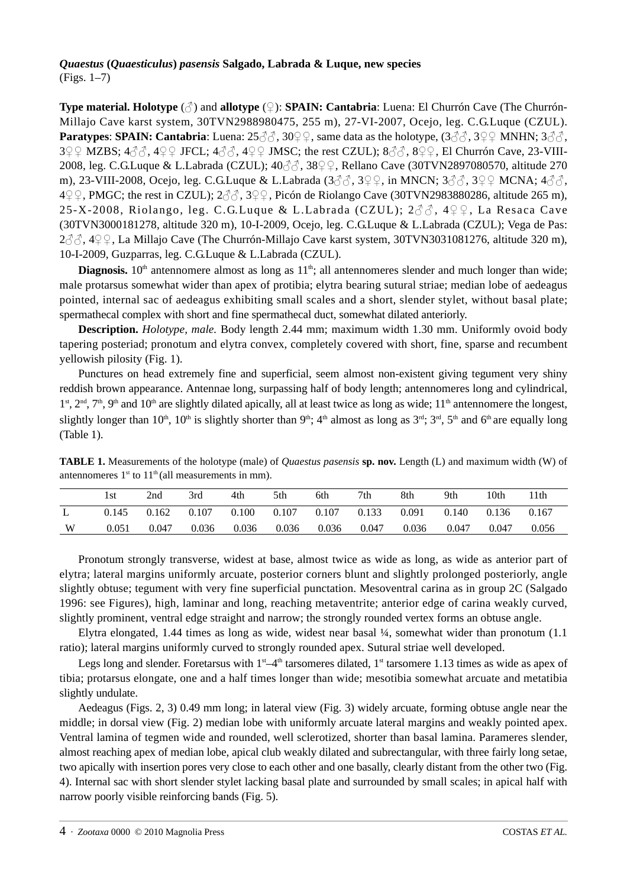## *Quaestus* **(***Quaesticulus***)** *pasensis* **Salgado, Labrada & Luque, new species** (Figs. 1–7)

**Type material. Holotype** (♂) and **allotype** (♀): **SPAIN: Cantabria**: Luena: El Churrón Cave (The Churrón-Millajo Cave karst system, 30TVN2988980475, 255 m), 27-VI-2007, Ocejo, leg. C.G.Luque (CZUL). **Paratypes: SPAIN: Cantabria**: Luena:  $25\%$ ,  $30\%$ , same data as the holotype,  $(3\%$ ,  $3\%$ ,  $3\%$ , MNHN;  $3\%$ ,  $3\sqrt{2}$  MZBS;  $4\sqrt{3}$ ,  $4\sqrt{2}$  JFCL;  $4\sqrt{3}$ ,  $4\sqrt{2}$  JMSC; the rest CZUL);  $8\sqrt{3}$ ,  $8\sqrt{2}$ , El Churrón Cave, 23-VIII-2008, leg. C.G.Luque & L.Labrada (CZUL); 40♂♂, 38♀♀, Rellano Cave (30TVN2897080570, altitude 270 m), 23-VIII-2008, Ocejo, leg. C.G.Luque & L.Labrada  $(3\sqrt[3]{2}, 3\sqrt[3]{2})$ , in MNCN;  $3\sqrt[3]{2}$ ,  $3\sqrt[3]{2}$  MCNA;  $4\sqrt[3]{2}$ , <sup>4</sup>♀♀, PMGC; the rest in CZUL); 2♂♂, 3♀♀, Picón de Riolango Cave (30TVN2983880286, altitude 265 m), 25-X-2008, Riolango, leg. C.G.Luque & L.Labrada (CZUL);  $2\hat{\sigma}\hat{\sigma}$ ,  $4\hat{Q}\hat{Q}$ , La Resaca Cave (30TVN3000181278, altitude 320 m), 10-I-2009, Ocejo, leg. C.G.Luque & L.Labrada (CZUL); Vega de Pas: 2 3 3, 4 9 9, La Millajo Cave (The Churrón-Millajo Cave karst system, 30TVN3031081276, altitude 320 m), 10-I-2009, Guzparras, leg. C.G.Luque & L.Labrada (CZUL).

**Diagnosis.**  $10<sup>th</sup>$  antennomere almost as long as  $11<sup>th</sup>$ ; all antennomeres slender and much longer than wide; male protarsus somewhat wider than apex of protibia; elytra bearing sutural striae; median lobe of aedeagus pointed, internal sac of aedeagus exhibiting small scales and a short, slender stylet, without basal plate; spermathecal complex with short and fine spermathecal duct, somewhat dilated anteriorly.

**Description.** *Holotype, male.* Body length 2.44 mm; maximum width 1.30 mm. Uniformly ovoid body tapering posteriad; pronotum and elytra convex, completely covered with short, fine, sparse and recumbent yellowish pilosity (Fig. 1).

Punctures on head extremely fine and superficial, seem almost non-existent giving tegument very shiny reddish brown appearance. Antennae long, surpassing half of body length; antennomeres long and cylindrical,  $1<sup>st</sup>$ ,  $2<sup>nd</sup>$ ,  $7<sup>th</sup>$ ,  $9<sup>th</sup>$  and  $10<sup>th</sup>$  are slightly dilated apically, all at least twice as long as wide;  $11<sup>th</sup>$  antennomere the longest, slightly longer than  $10^{\text{th}}$ ,  $10^{\text{th}}$  is slightly shorter than  $9^{\text{th}}$ ;  $4^{\text{th}}$  almost as long as  $3^{\text{rd}}$ ;  $3^{\text{rd}}$ ,  $5^{\text{th}}$  and  $6^{\text{th}}$  are equally long (Table 1).

| <b>TABLE 1.</b> Measurements of the holotype (male) of <i>Quaestus pasensis</i> sp. nov. Length (L) and maximum width (W) of |  |
|------------------------------------------------------------------------------------------------------------------------------|--|
| antennomeres $1st$ to $11th$ (all measurements in mm).                                                                       |  |

|   | l st  | 2nd   | 3rd   | 4th   | 5th   | 6th   | 7th   | 8th   | 9th   | 10th  | ' 1th |
|---|-------|-------|-------|-------|-------|-------|-------|-------|-------|-------|-------|
|   | 0.145 | 0.162 | 0.107 | 0.100 | 0.107 | 0.107 | 0.133 | 0.091 | 0.140 | 0.136 | 0.167 |
| W | 0.051 | 0.047 | 0.036 | 0.036 | 0.036 | 0.036 | 0.047 | 0.036 | 0.047 | 0.047 | 0.056 |

Pronotum strongly transverse, widest at base, almost twice as wide as long, as wide as anterior part of elytra; lateral margins uniformly arcuate, posterior corners blunt and slightly prolonged posteriorly, angle slightly obtuse; tegument with very fine superficial punctation. Mesoventral carina as in group 2C (Salgado 1996: see Figures), high, laminar and long, reaching metaventrite; anterior edge of carina weakly curved, slightly prominent, ventral edge straight and narrow; the strongly rounded vertex forms an obtuse angle.

Elytra elongated, 1.44 times as long as wide, widest near basal ¼, somewhat wider than pronotum (1.1 ratio); lateral margins uniformly curved to strongly rounded apex. Sutural striae well developed.

Legs long and slender. Foretarsus with  $1<sup>st</sup>-4<sup>th</sup>$  tarsomeres dilated,  $1<sup>st</sup>$  tarsomere 1.13 times as wide as apex of tibia; protarsus elongate, one and a half times longer than wide; mesotibia somewhat arcuate and metatibia slightly undulate.

Aedeagus (Figs. 2, 3) 0.49 mm long; in lateral view (Fig. 3) widely arcuate, forming obtuse angle near the middle; in dorsal view (Fig. 2) median lobe with uniformly arcuate lateral margins and weakly pointed apex. Ventral lamina of tegmen wide and rounded, well sclerotized, shorter than basal lamina. Parameres slender, almost reaching apex of median lobe, apical club weakly dilated and subrectangular, with three fairly long setae, two apically with insertion pores very close to each other and one basally, clearly distant from the other two (Fig. 4). Internal sac with short slender stylet lacking basal plate and surrounded by small scales; in apical half with narrow poorly visible reinforcing bands (Fig. 5).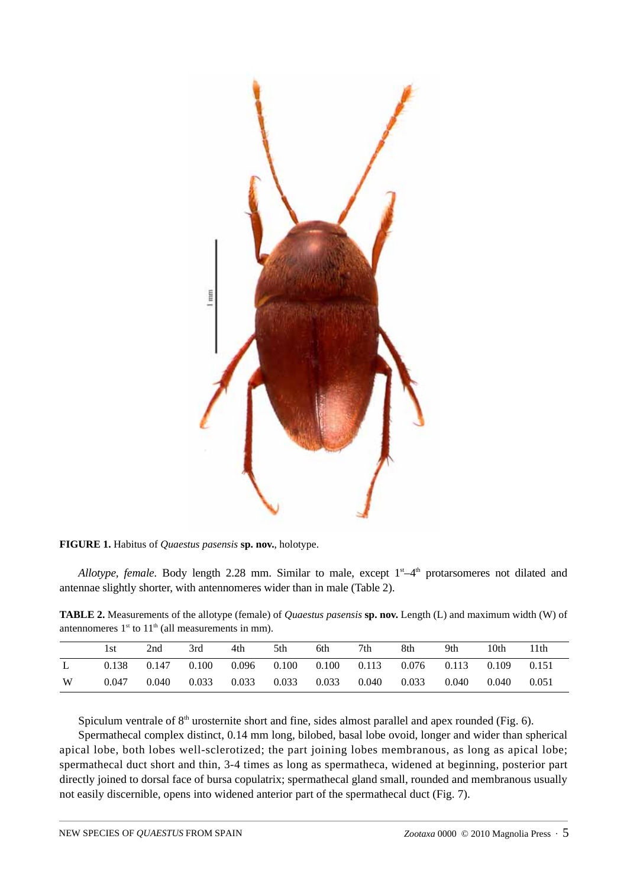

**FIGURE 1.** Habitus of *Quaestus pasensis* **sp. nov.**, holotype.

*Allotype, female.* Body length 2.28 mm. Similar to male, except  $1<sup>st</sup>-4<sup>th</sup>$  protarsomeres not dilated and antennae slightly shorter, with antennomeres wider than in male (Table 2).

**TABLE 2.** Measurements of the allotype (female) of *Quaestus pasensis* **sp. nov.** Length (L) and maximum width (W) of antennomeres  $1<sup>st</sup>$  to  $11<sup>th</sup>$  (all measurements in mm).

|   | 1st   | 2nd   | 3rd   | 4th   | 5th   | 6th   | 7th   | 8th   | 9th   | 10th  | 11th  |
|---|-------|-------|-------|-------|-------|-------|-------|-------|-------|-------|-------|
|   | 0.138 | 0.147 | 0.100 | 0.096 | 0.100 | 0.100 | 0.113 | 0.076 | 0.113 | 0.109 | 0.151 |
| W | 0.047 | 0.040 | 0.033 | 0.033 | 0.033 | 0.033 | 0.040 | 0.033 | 0.040 | 0.040 | 0.051 |

Spiculum ventrale of  $8<sup>th</sup>$  urosternite short and fine, sides almost parallel and apex rounded (Fig. 6).

Spermathecal complex distinct, 0.14 mm long, bilobed, basal lobe ovoid, longer and wider than spherical apical lobe, both lobes well-sclerotized; the part joining lobes membranous, as long as apical lobe; spermathecal duct short and thin, 3-4 times as long as spermatheca, widened at beginning, posterior part directly joined to dorsal face of bursa copulatrix; spermathecal gland small, rounded and membranous usually not easily discernible, opens into widened anterior part of the spermathecal duct (Fig. 7).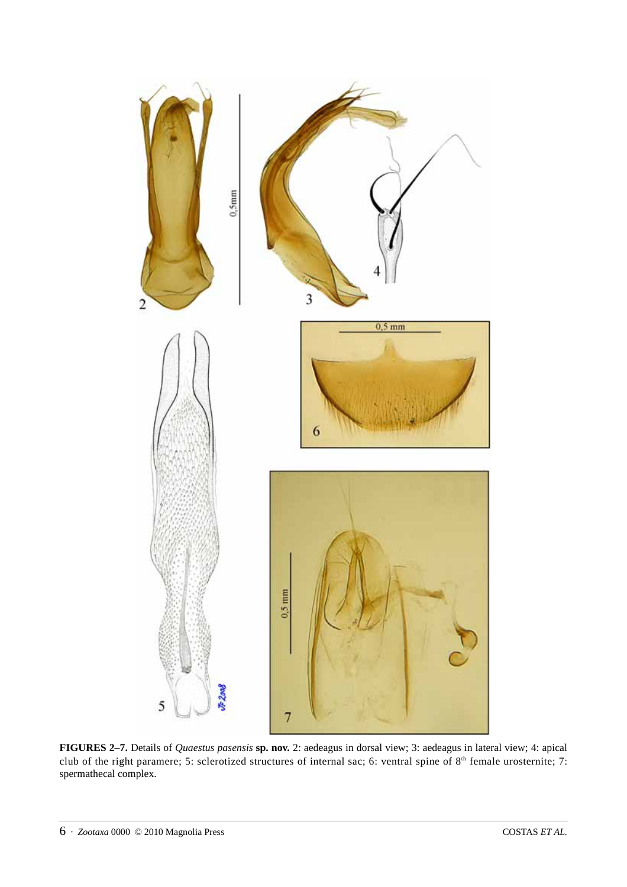

**FIGURES 2–7.** Details of *Quaestus pasensis* **sp. nov.** 2: aedeagus in dorsal view; 3: aedeagus in lateral view; 4: apical club of the right paramere; 5: sclerotized structures of internal sac; 6: ventral spine of 8<sup>th</sup> female urosternite; 7: spermathecal complex.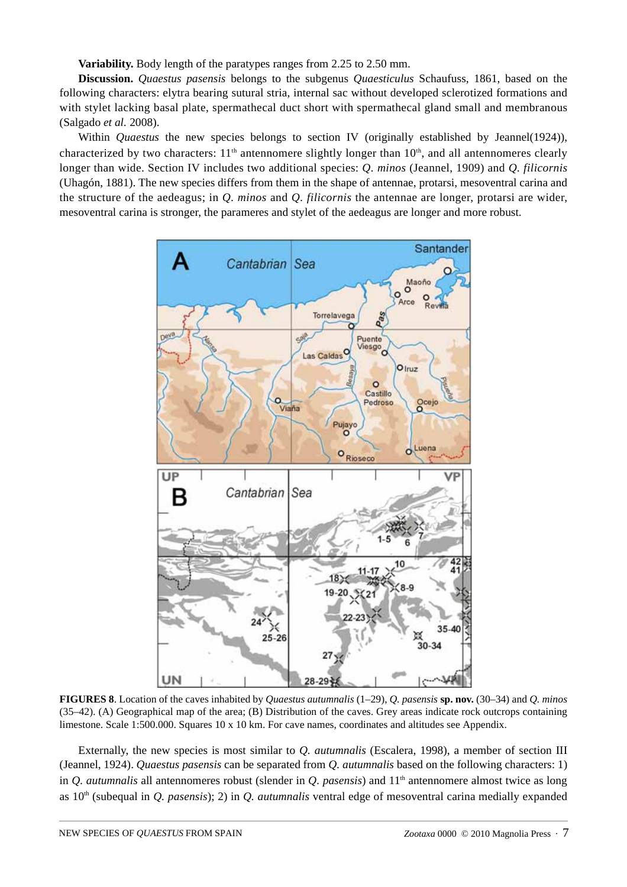**Variability.** Body length of the paratypes ranges from 2.25 to 2.50 mm.

**Discussion.** *Quaestus pasensis* belongs to the subgenus *Quaesticulus* Schaufuss, 1861, based on the following characters: elytra bearing sutural stria, internal sac without developed sclerotized formations and with stylet lacking basal plate, spermathecal duct short with spermathecal gland small and membranous (Salgado *et al.* 2008).

Within *Quaestus* the new species belongs to section IV (originally established by Jeannel(1924)), characterized by two characters:  $11<sup>th</sup>$  antennomere slightly longer than  $10<sup>th</sup>$ , and all antennomeres clearly longer than wide. Section IV includes two additional species: *Q. minos* (Jeannel, 1909) and *Q. filicornis* (Uhagón, 1881). The new species differs from them in the shape of antennae, protarsi, mesoventral carina and the structure of the aedeagus; in *Q. minos* and *Q. filicornis* the antennae are longer, protarsi are wider, mesoventral carina is stronger, the parameres and stylet of the aedeagus are longer and more robust.



**FIGURES 8**. Location of the caves inhabited by *Quaestus autumnalis* (1–29), *Q. pasensis* **sp. nov.** (30–34) and *Q. minos* (35–42). (A) Geographical map of the area; (B) Distribution of the caves. Grey areas indicate rock outcrops containing limestone. Scale 1:500.000. Squares 10 x 10 km. For cave names, coordinates and altitudes see Appendix.

Externally, the new species is most similar to *Q. autumnalis* (Escalera, 1998), a member of section III (Jeannel, 1924). *Quaestus pasensis* can be separated from *Q. autumnalis* based on the following characters: 1) in *Q. autumnalis* all antennomeres robust (slender in *Q. pasensis*) and  $11<sup>th</sup>$  antennomere almost twice as long as 10<sup>th</sup> (subequal in *Q. pasensis*); 2) in *Q. autumnalis* ventral edge of mesoventral carina medially expanded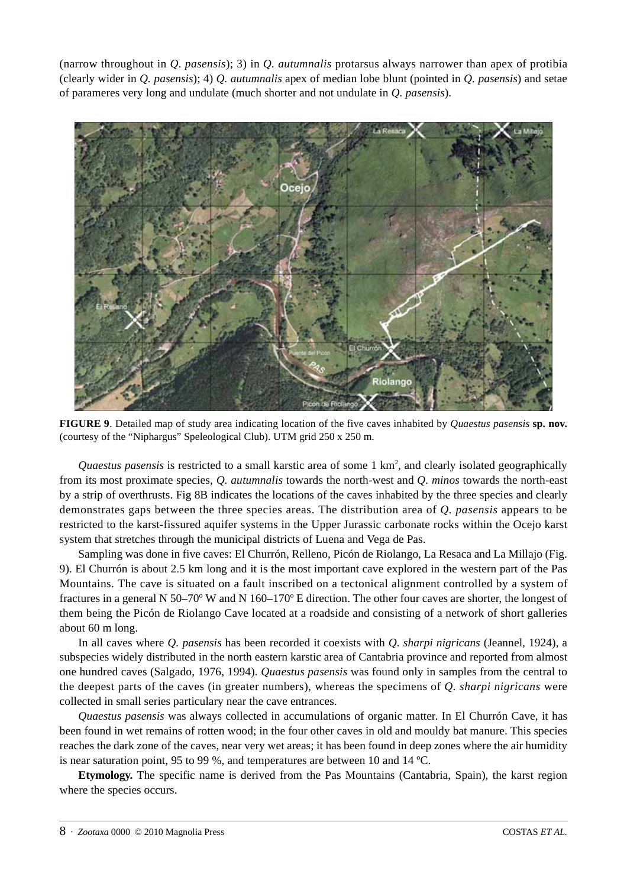(narrow throughout in *Q. pasensis*); 3) in *Q. autumnalis* protarsus always narrower than apex of protibia (clearly wider in *Q. pasensis*); 4) *Q. autumnalis* apex of median lobe blunt (pointed in *Q. pasensis*) and setae of parameres very long and undulate (much shorter and not undulate in *Q. pasensis*).



**FIGURE 9**. Detailed map of study area indicating location of the five caves inhabited by *Quaestus pasensis* **sp. nov.** (courtesy of the "Niphargus" Speleological Club). UTM grid 250 x 250 m.

Quaestus pasensis is restricted to a small karstic area of some 1 km<sup>2</sup>, and clearly isolated geographically from its most proximate species, *Q. autumnalis* towards the north-west and *Q. minos* towards the north-east by a strip of overthrusts. Fig 8B indicates the locations of the caves inhabited by the three species and clearly demonstrates gaps between the three species areas. The distribution area of *Q. pasensis* appears to be restricted to the karst-fissured aquifer systems in the Upper Jurassic carbonate rocks within the Ocejo karst system that stretches through the municipal districts of Luena and Vega de Pas.

Sampling was done in five caves: El Churrón, Relleno, Picón de Riolango, La Resaca and La Millajo (Fig. 9). El Churrón is about 2.5 km long and it is the most important cave explored in the western part of the Pas Mountains. The cave is situated on a fault inscribed on a tectonical alignment controlled by a system of fractures in a general N 50–70º W and N 160–170º E direction. The other four caves are shorter, the longest of them being the Picón de Riolango Cave located at a roadside and consisting of a network of short galleries about 60 m long.

In all caves where *Q. pasensis* has been recorded it coexists with *Q. sharpi nigricans* (Jeannel, 1924), a subspecies widely distributed in the north eastern karstic area of Cantabria province and reported from almost one hundred caves (Salgado, 1976, 1994). *Quaestus pasensis* was found only in samples from the central to the deepest parts of the caves (in greater numbers), whereas the specimens of *Q. sharpi nigricans* were collected in small series particulary near the cave entrances.

*Quaestus pasensis* was always collected in accumulations of organic matter. In El Churrón Cave, it has been found in wet remains of rotten wood; in the four other caves in old and mouldy bat manure. This species reaches the dark zone of the caves, near very wet areas; it has been found in deep zones where the air humidity is near saturation point, 95 to 99 %, and temperatures are between 10 and 14 ºC.

**Etymology.** The specific name is derived from the Pas Mountains (Cantabria, Spain), the karst region where the species occurs.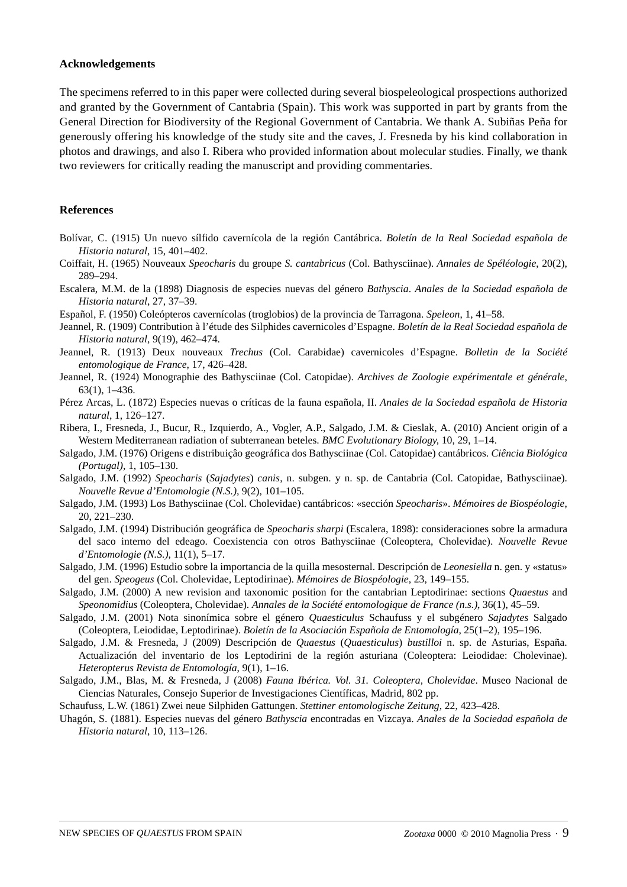### **Acknowledgements**

The specimens referred to in this paper were collected during several biospeleological prospections authorized and granted by the Government of Cantabria (Spain). This work was supported in part by grants from the General Direction for Biodiversity of the Regional Government of Cantabria. We thank A. Subiñas Peña for generously offering his knowledge of the study site and the caves, J. Fresneda by his kind collaboration in photos and drawings, and also I. Ribera who provided information about molecular studies. Finally, we thank two reviewers for critically reading the manuscript and providing commentaries.

#### **References**

- Bolívar, C. (1915) Un nuevo sílfido cavernícola de la región Cantábrica. *Boletín de la Real Sociedad española de Historia natural*, 15, 401–402.
- Coiffait, H. (1965) Nouveaux *Speocharis* du groupe *S. cantabricus* (Col. Bathysciinae). *Annales de Spéléologie*, 20(2), 289–294.
- Escalera, M.M. de la (1898) Diagnosis de especies nuevas del género *Bathyscia*. *Anales de la Sociedad española de Historia natural*, 27, 37–39.
- Español, F. (1950) Coleópteros cavernícolas (troglobios) de la provincia de Tarragona. *Speleon*, 1, 41–58.
- Jeannel, R. (1909) Contribution à l'étude des Silphides cavernicoles d'Espagne. *Boletín de la Real Sociedad española de Historia natural*, 9(19), 462–474.
- Jeannel, R. (1913) Deux nouveaux *Trechus* (Col. Carabidae) cavernicoles d'Espagne. *Bolletin de la Société entomologique de France*, 17, 426–428.
- Jeannel, R. (1924) Monographie des Bathysciinae (Col. Catopidae). *Archives de Zoologie expérimentale et générale*, 63(1), 1–436.
- Pérez Arcas, L. (1872) Especies nuevas o críticas de la fauna española, II. *Anales de la Sociedad española de Historia natural*, 1, 126–127.
- Ribera, I., Fresneda, J., Bucur, R., Izquierdo, A., Vogler, A.P., Salgado, J.M. & Cieslak, A. (2010) Ancient origin of a Western Mediterranean radiation of subterranean beteles. *BMC Evolutionary Biology*, 10, 29, 1–14.
- Salgado, J.M. (1976) Origens e distribuiçâo geográfica dos Bathysciinae (Col. Catopidae) cantábricos. *Ciência Biológica (Portugal)*, 1, 105–130.
- Salgado, J.M. (1992) *Speocharis* (*Sajadytes*) *canis*, n. subgen. y n. sp. de Cantabria (Col. Catopidae, Bathysciinae). *Nouvelle Revue d'Entomologie (N.S.)*, 9(2), 101–105.
- Salgado, J.M. (1993) Los Bathysciinae (Col. Cholevidae) cantábricos: «sección *Speocharis*». *Mémoires de Biospéologie*, 20, 221–230.
- Salgado, J.M. (1994) Distribución geográfica de *Speocharis sharpi* (Escalera, 1898): consideraciones sobre la armadura del saco interno del edeago. Coexistencia con otros Bathysciinae (Coleoptera, Cholevidae). *Nouvelle Revue d'Entomologie (N.S.)*, 11(1), 5–17.
- Salgado, J.M. (1996) Estudio sobre la importancia de la quilla mesosternal. Descripción de *Leonesiella* n. gen. y «status» del gen. *Speogeus* (Col. Cholevidae, Leptodirinae). *Mémoires de Biospéologie*, 23, 149–155.
- Salgado, J.M. (2000) A new revision and taxonomic position for the cantabrian Leptodirinae: sections *Quaestus* and *Speonomidius* (Coleoptera, Cholevidae). *Annales de la Société entomologique de France (n.s.)*, 36(1), 45–59.
- Salgado, J.M. (2001) Nota sinonímica sobre el género *Quaesticulus* Schaufuss y el subgénero *Sajadytes* Salgado (Coleoptera, Leiodidae, Leptodirinae). *Boletín de la Asociación Española de Entomología*, 25(1–2), 195–196.
- Salgado, J.M. & Fresneda, J (2009) Descripción de *Quaestus* (*Quaesticulus*) *bustilloi* n. sp. de Asturias, España. Actualización del inventario de los Leptodirini de la región asturiana (Coleoptera: Leiodidae: Cholevinae). *Heteropterus Revista de Entomología*, 9(1), 1–16.
- Salgado, J.M., Blas, M. & Fresneda, J (2008) *Fauna Ibérica. Vol. 31. Coleoptera, Cholevidae*. Museo Nacional de Ciencias Naturales, Consejo Superior de Investigaciones Científicas, Madrid, 802 pp.
- Schaufuss, L.W. (1861) Zwei neue Silphiden Gattungen. *Stettiner entomologische Zeitung*, 22, 423–428.
- Uhagón, S. (1881). Especies nuevas del género *Bathyscia* encontradas en Vizcaya. *Anales de la Sociedad española de Historia natural*, 10, 113–126.